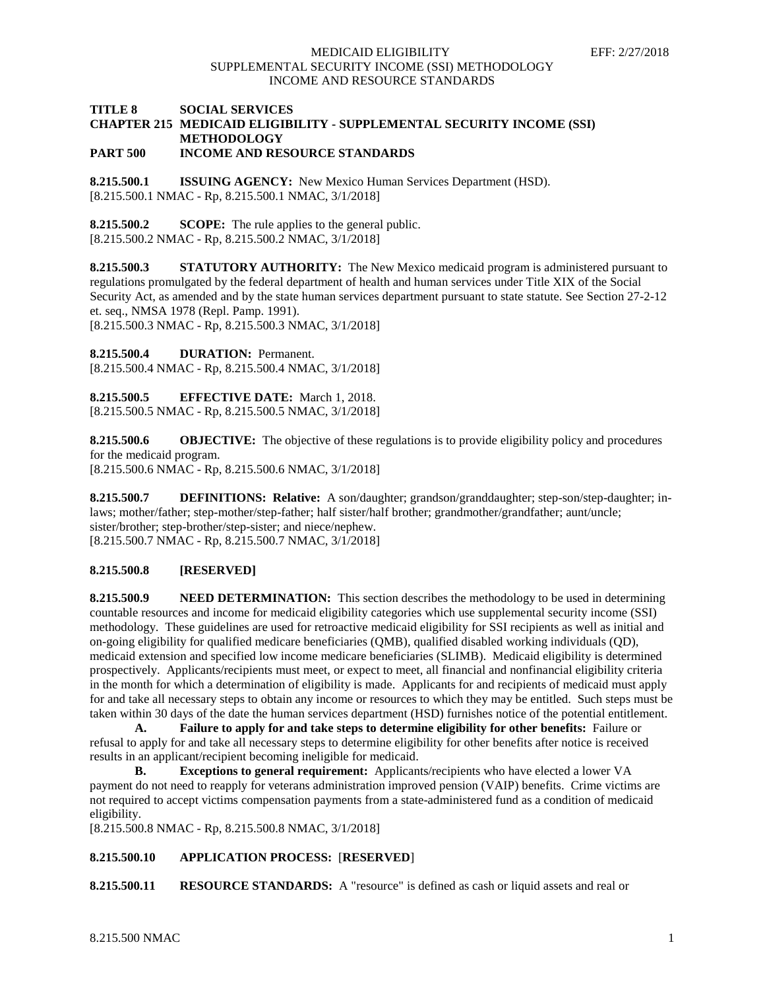# **TITLE 8 SOCIAL SERVICES CHAPTER 215 MEDICAID ELIGIBILITY - SUPPLEMENTAL SECURITY INCOME (SSI) METHODOLOGY**

**PART 500 INCOME AND RESOURCE STANDARDS**

**8.215.500.1 ISSUING AGENCY:** New Mexico Human Services Department (HSD). [8.215.500.1 NMAC - Rp, 8.215.500.1 NMAC, 3/1/2018]

**8.215.500.2 SCOPE:** The rule applies to the general public. [8.215.500.2 NMAC - Rp, 8.215.500.2 NMAC, 3/1/2018]

**8.215.500.3 STATUTORY AUTHORITY:** The New Mexico medicaid program is administered pursuant to regulations promulgated by the federal department of health and human services under Title XIX of the Social Security Act, as amended and by the state human services department pursuant to state statute. See Section 27-2-12 et. seq., NMSA 1978 (Repl. Pamp. 1991). [8.215.500.3 NMAC - Rp, 8.215.500.3 NMAC, 3/1/2018]

**8.215.500.4 DURATION:** Permanent.

[8.215.500.4 NMAC - Rp, 8.215.500.4 NMAC, 3/1/2018]

**8.215.500.5 EFFECTIVE DATE:** March 1, 2018. [8.215.500.5 NMAC - Rp, 8.215.500.5 NMAC, 3/1/2018]

**8.215.500.6 OBJECTIVE:** The objective of these regulations is to provide eligibility policy and procedures for the medicaid program. [8.215.500.6 NMAC - Rp, 8.215.500.6 NMAC, 3/1/2018]

**8.215.500.7 DEFINITIONS: Relative:** A son/daughter; grandson/granddaughter; step-son/step-daughter; inlaws; mother/father; step-mother/step-father; half sister/half brother; grandmother/grandfather; aunt/uncle; sister/brother; step-brother/step-sister; and niece/nephew. [8.215.500.7 NMAC - Rp, 8.215.500.7 NMAC, 3/1/2018]

## **8.215.500.8 [RESERVED]**

**8.215.500.9 NEED DETERMINATION:** This section describes the methodology to be used in determining countable resources and income for medicaid eligibility categories which use supplemental security income (SSI) methodology. These guidelines are used for retroactive medicaid eligibility for SSI recipients as well as initial and on-going eligibility for qualified medicare beneficiaries (QMB), qualified disabled working individuals (QD), medicaid extension and specified low income medicare beneficiaries (SLIMB). Medicaid eligibility is determined prospectively. Applicants/recipients must meet, or expect to meet, all financial and nonfinancial eligibility criteria in the month for which a determination of eligibility is made. Applicants for and recipients of medicaid must apply for and take all necessary steps to obtain any income or resources to which they may be entitled. Such steps must be taken within 30 days of the date the human services department (HSD) furnishes notice of the potential entitlement.

**A. Failure to apply for and take steps to determine eligibility for other benefits:** Failure or refusal to apply for and take all necessary steps to determine eligibility for other benefits after notice is received results in an applicant/recipient becoming ineligible for medicaid.

**B. Exceptions to general requirement:** Applicants/recipients who have elected a lower VA payment do not need to reapply for veterans administration improved pension (VAIP) benefits. Crime victims are not required to accept victims compensation payments from a state-administered fund as a condition of medicaid eligibility.

[8.215.500.8 NMAC - Rp, 8.215.500.8 NMAC, 3/1/2018]

## **8.215.500.10 APPLICATION PROCESS:** [**RESERVED**]

**8.215.500.11 RESOURCE STANDARDS:** A "resource" is defined as cash or liquid assets and real or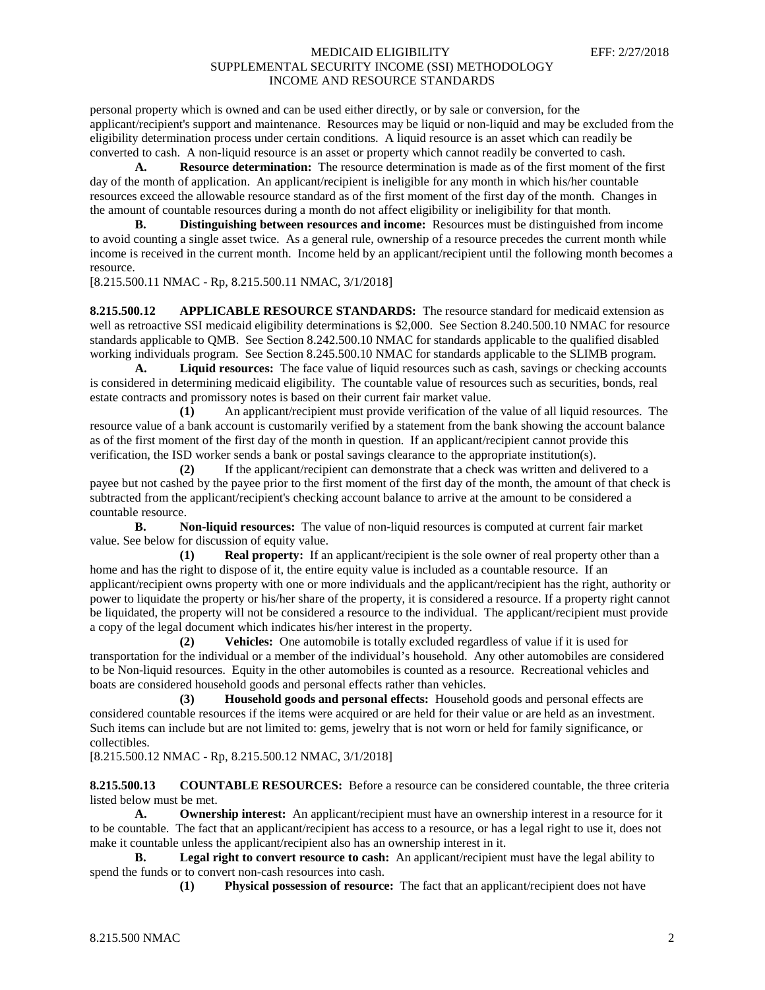personal property which is owned and can be used either directly, or by sale or conversion, for the applicant/recipient's support and maintenance. Resources may be liquid or non-liquid and may be excluded from the eligibility determination process under certain conditions. A liquid resource is an asset which can readily be converted to cash. A non-liquid resource is an asset or property which cannot readily be converted to cash.

**A. Resource determination:** The resource determination is made as of the first moment of the first day of the month of application. An applicant/recipient is ineligible for any month in which his/her countable resources exceed the allowable resource standard as of the first moment of the first day of the month. Changes in the amount of countable resources during a month do not affect eligibility or ineligibility for that month.

**B. Distinguishing between resources and income:** Resources must be distinguished from income to avoid counting a single asset twice. As a general rule, ownership of a resource precedes the current month while income is received in the current month. Income held by an applicant/recipient until the following month becomes a resource.

[8.215.500.11 NMAC - Rp, 8.215.500.11 NMAC, 3/1/2018]

**8.215.500.12 APPLICABLE RESOURCE STANDARDS:** The resource standard for medicaid extension as well as retroactive SSI medicaid eligibility determinations is \$2,000. See Section 8.240.500.10 NMAC for resource standards applicable to QMB. See Section 8.242.500.10 NMAC for standards applicable to the qualified disabled working individuals program. See Section 8.245.500.10 NMAC for standards applicable to the SLIMB program.

**A. Liquid resources:** The face value of liquid resources such as cash, savings or checking accounts is considered in determining medicaid eligibility. The countable value of resources such as securities, bonds, real estate contracts and promissory notes is based on their current fair market value.

**(1)** An applicant/recipient must provide verification of the value of all liquid resources. The resource value of a bank account is customarily verified by a statement from the bank showing the account balance as of the first moment of the first day of the month in question. If an applicant/recipient cannot provide this verification, the ISD worker sends a bank or postal savings clearance to the appropriate institution(s).

**(2)** If the applicant/recipient can demonstrate that a check was written and delivered to a payee but not cashed by the payee prior to the first moment of the first day of the month, the amount of that check is subtracted from the applicant/recipient's checking account balance to arrive at the amount to be considered a countable resource.

**B. Non-liquid resources:** The value of non-liquid resources is computed at current fair market value. See below for discussion of equity value.

**(1) Real property:** If an applicant/recipient is the sole owner of real property other than a home and has the right to dispose of it, the entire equity value is included as a countable resource. If an applicant/recipient owns property with one or more individuals and the applicant/recipient has the right, authority or power to liquidate the property or his/her share of the property, it is considered a resource. If a property right cannot be liquidated, the property will not be considered a resource to the individual. The applicant/recipient must provide a copy of the legal document which indicates his/her interest in the property.

**(2) Vehicles:** One automobile is totally excluded regardless of value if it is used for transportation for the individual or a member of the individual's household. Any other automobiles are considered to be Non-liquid resources. Equity in the other automobiles is counted as a resource. Recreational vehicles and boats are considered household goods and personal effects rather than vehicles.

**(3) Household goods and personal effects:** Household goods and personal effects are considered countable resources if the items were acquired or are held for their value or are held as an investment. Such items can include but are not limited to: gems, jewelry that is not worn or held for family significance, or collectibles.

[8.215.500.12 NMAC - Rp, 8.215.500.12 NMAC, 3/1/2018]

**8.215.500.13 COUNTABLE RESOURCES:** Before a resource can be considered countable, the three criteria listed below must be met.

**A. Ownership interest:** An applicant/recipient must have an ownership interest in a resource for it to be countable. The fact that an applicant/recipient has access to a resource, or has a legal right to use it, does not make it countable unless the applicant/recipient also has an ownership interest in it.

**B. Legal right to convert resource to cash:** An applicant/recipient must have the legal ability to spend the funds or to convert non-cash resources into cash.

**(1) Physical possession of resource:** The fact that an applicant/recipient does not have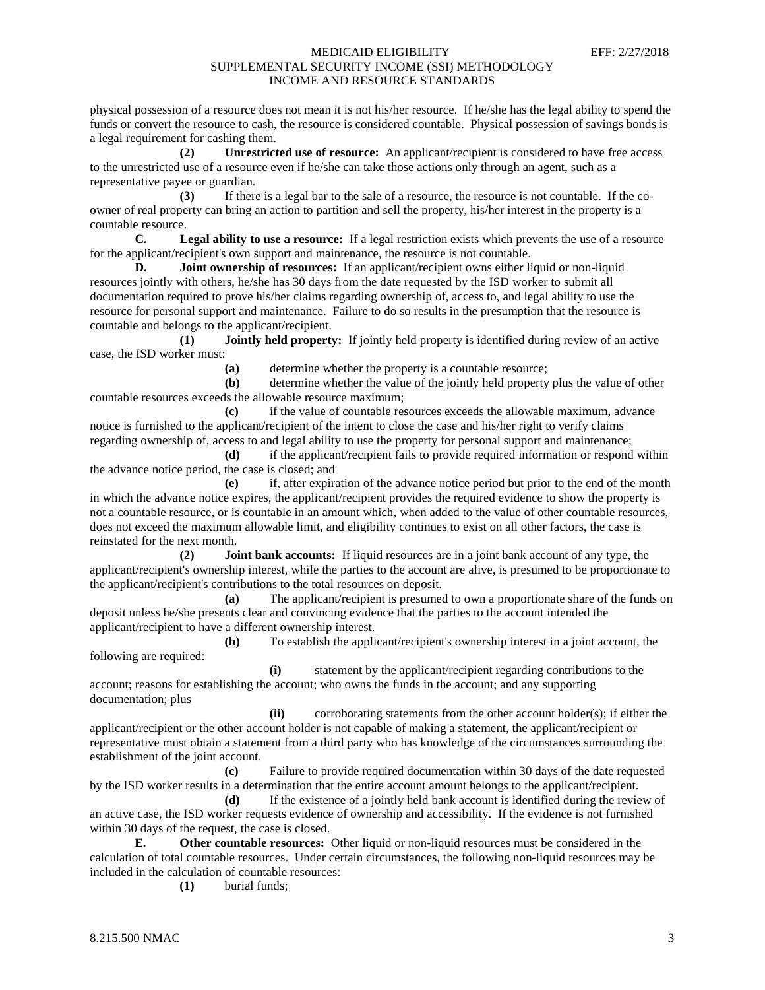physical possession of a resource does not mean it is not his/her resource. If he/she has the legal ability to spend the funds or convert the resource to cash, the resource is considered countable. Physical possession of savings bonds is a legal requirement for cashing them.

**(2) Unrestricted use of resource:** An applicant/recipient is considered to have free access to the unrestricted use of a resource even if he/she can take those actions only through an agent, such as a representative payee or guardian.

**(3)** If there is a legal bar to the sale of a resource, the resource is not countable. If the coowner of real property can bring an action to partition and sell the property, his/her interest in the property is a countable resource.

**C. Legal ability to use a resource:** If a legal restriction exists which prevents the use of a resource for the applicant/recipient's own support and maintenance, the resource is not countable.

**D. Joint ownership of resources:** If an applicant/recipient owns either liquid or non-liquid resources jointly with others, he/she has 30 days from the date requested by the ISD worker to submit all documentation required to prove his/her claims regarding ownership of, access to, and legal ability to use the resource for personal support and maintenance. Failure to do so results in the presumption that the resource is countable and belongs to the applicant/recipient.

**(1) Jointly held property:** If jointly held property is identified during review of an active case, the ISD worker must:

**(a)** determine whether the property is a countable resource;

**(b)** determine whether the value of the jointly held property plus the value of other countable resources exceeds the allowable resource maximum;

**(c)** if the value of countable resources exceeds the allowable maximum, advance notice is furnished to the applicant/recipient of the intent to close the case and his/her right to verify claims regarding ownership of, access to and legal ability to use the property for personal support and maintenance;

**(d)** if the applicant/recipient fails to provide required information or respond within the advance notice period, the case is closed; and

**(e)** if, after expiration of the advance notice period but prior to the end of the month in which the advance notice expires, the applicant/recipient provides the required evidence to show the property is not a countable resource, or is countable in an amount which, when added to the value of other countable resources, does not exceed the maximum allowable limit, and eligibility continues to exist on all other factors, the case is reinstated for the next month.

**(2) Joint bank accounts:** If liquid resources are in a joint bank account of any type, the applicant/recipient's ownership interest, while the parties to the account are alive, is presumed to be proportionate to the applicant/recipient's contributions to the total resources on deposit.

**(a)** The applicant/recipient is presumed to own a proportionate share of the funds on deposit unless he/she presents clear and convincing evidence that the parties to the account intended the applicant/recipient to have a different ownership interest.

**(b)** To establish the applicant/recipient's ownership interest in a joint account, the following are required:

**(i)** statement by the applicant/recipient regarding contributions to the account; reasons for establishing the account; who owns the funds in the account; and any supporting documentation; plus

**(ii)** corroborating statements from the other account holder(s); if either the applicant/recipient or the other account holder is not capable of making a statement, the applicant/recipient or representative must obtain a statement from a third party who has knowledge of the circumstances surrounding the establishment of the joint account.

**(c)** Failure to provide required documentation within 30 days of the date requested by the ISD worker results in a determination that the entire account amount belongs to the applicant/recipient.

**(d)** If the existence of a jointly held bank account is identified during the review of an active case, the ISD worker requests evidence of ownership and accessibility. If the evidence is not furnished within 30 days of the request, the case is closed.

**E. Other countable resources:** Other liquid or non-liquid resources must be considered in the calculation of total countable resources. Under certain circumstances, the following non-liquid resources may be included in the calculation of countable resources:

**(1)** burial funds;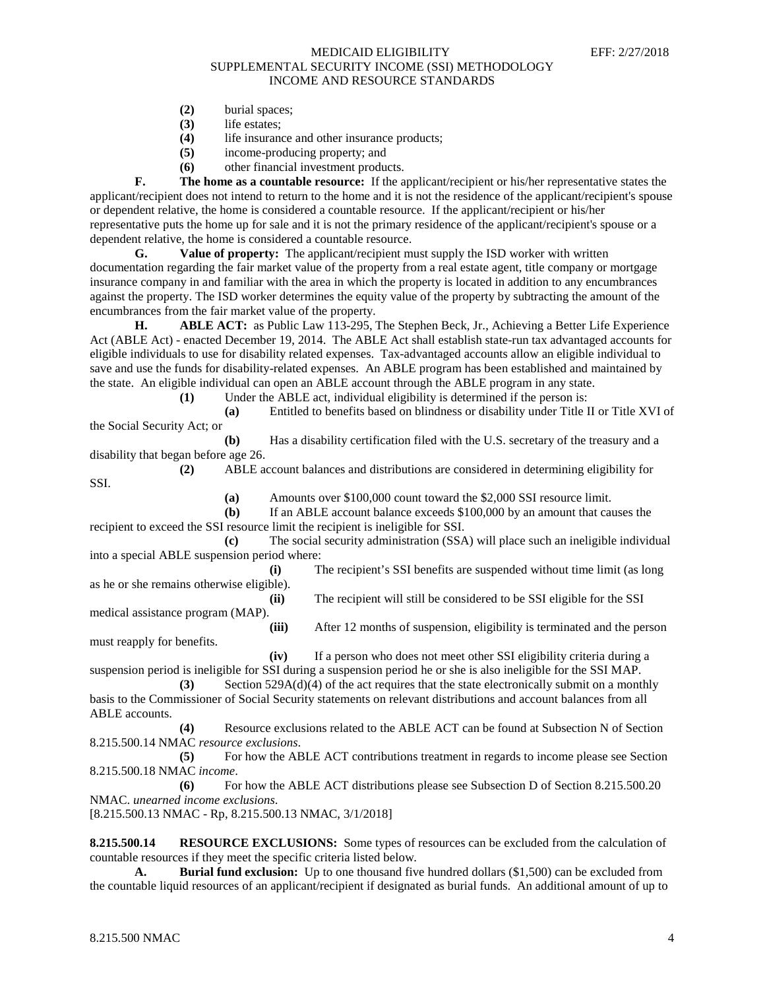- **(2)** burial spaces;
- **(3)** life estates;
- **(4)** life insurance and other insurance products;
- **(5)** income-producing property; and
- **(6)** other financial investment products.

**F. The home as a countable resource:** If the applicant/recipient or his/her representative states the applicant/recipient does not intend to return to the home and it is not the residence of the applicant/recipient's spouse or dependent relative, the home is considered a countable resource. If the applicant/recipient or his/her representative puts the home up for sale and it is not the primary residence of the applicant/recipient's spouse or a dependent relative, the home is considered a countable resource.

**G. Value of property:** The applicant/recipient must supply the ISD worker with written documentation regarding the fair market value of the property from a real estate agent, title company or mortgage insurance company in and familiar with the area in which the property is located in addition to any encumbrances against the property. The ISD worker determines the equity value of the property by subtracting the amount of the encumbrances from the fair market value of the property.<br> **H.** ABLE ACT: as Public Law 113-295.

**H. ABLE ACT:** as Public Law 113-295, The Stephen Beck, Jr., Achieving a Better Life Experience Act (ABLE Act) - enacted December 19, 2014. The ABLE Act shall establish state-run tax advantaged accounts for eligible individuals to use for disability related expenses. Tax-advantaged accounts allow an eligible individual to save and use the funds for disability-related expenses. An ABLE program has been established and maintained by the state. An eligible individual can open an ABLE account through the ABLE program in any state.

**(1)** Under the ABLE act, individual eligibility is determined if the person is:

**(a)** Entitled to benefits based on blindness or disability under Title II or Title XVI of the Social Security Act; or

**(b)** Has a disability certification filed with the U.S. secretary of the treasury and a disability that began before age 26.

**(2)** ABLE account balances and distributions are considered in determining eligibility for SSI.

**(a)** Amounts over \$100,000 count toward the \$2,000 SSI resource limit.

**(b)** If an ABLE account balance exceeds \$100,000 by an amount that causes the recipient to exceed the SSI resource limit the recipient is ineligible for SSI.

**(c)** The social security administration (SSA) will place such an ineligible individual into a special ABLE suspension period where:

**(i)** The recipient's SSI benefits are suspended without time limit (as long as he or she remains otherwise eligible).

**(ii)** The recipient will still be considered to be SSI eligible for the SSI medical assistance program (MAP).

**(iii)** After 12 months of suspension, eligibility is terminated and the person must reapply for benefits.

**(iv)** If a person who does not meet other SSI eligibility criteria during a suspension period is ineligible for SSI during a suspension period he or she is also ineligible for the SSI MAP.

**(3)** Section 529A(d)(4) of the act requires that the state electronically submit on a monthly basis to the Commissioner of Social Security statements on relevant distributions and account balances from all ABLE accounts.

**(4)** Resource exclusions related to the ABLE ACT can be found at Subsection N of Section 8.215.500.14 NMAC *resource exclusions*.

**(5)** For how the ABLE ACT contributions treatment in regards to income please see Section 8.215.500.18 NMAC *income*.

**(6)** For how the ABLE ACT distributions please see Subsection D of Section 8.215.500.20 NMAC. *unearned income exclusions*.

[8.215.500.13 NMAC - Rp, 8.215.500.13 NMAC, 3/1/2018]

**8.215.500.14 RESOURCE EXCLUSIONS:** Some types of resources can be excluded from the calculation of countable resources if they meet the specific criteria listed below.

**A. Burial fund exclusion:** Up to one thousand five hundred dollars (\$1,500) can be excluded from the countable liquid resources of an applicant/recipient if designated as burial funds. An additional amount of up to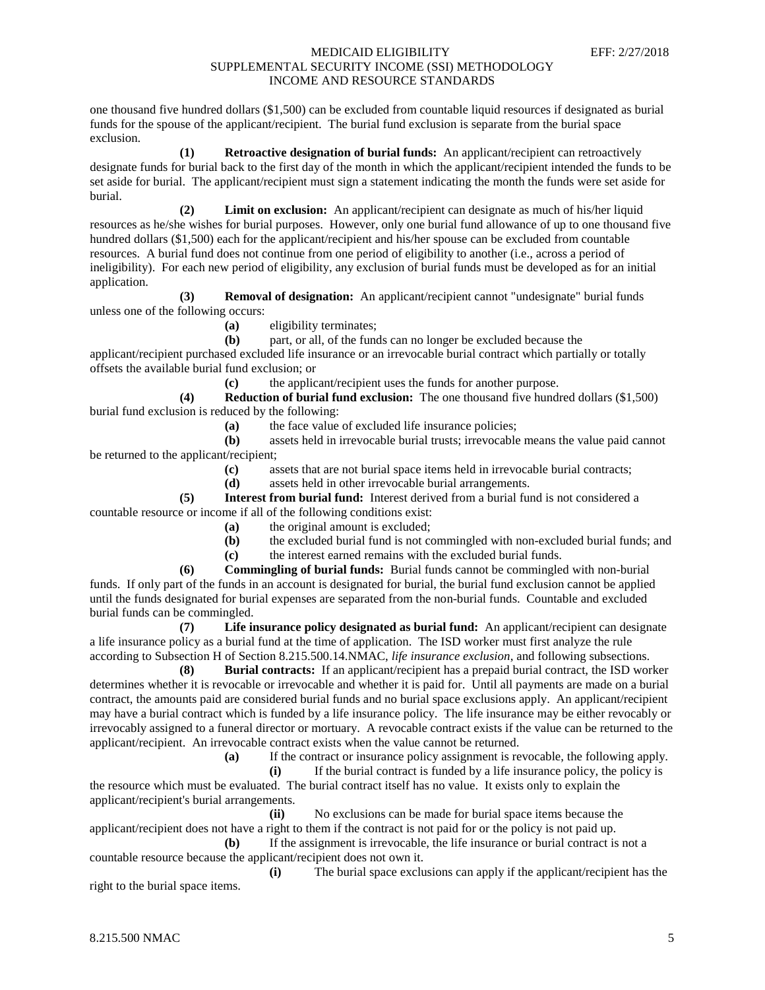one thousand five hundred dollars (\$1,500) can be excluded from countable liquid resources if designated as burial funds for the spouse of the applicant/recipient. The burial fund exclusion is separate from the burial space exclusion.

**(1) Retroactive designation of burial funds:** An applicant/recipient can retroactively designate funds for burial back to the first day of the month in which the applicant/recipient intended the funds to be set aside for burial. The applicant/recipient must sign a statement indicating the month the funds were set aside for burial.

**(2) Limit on exclusion:** An applicant/recipient can designate as much of his/her liquid resources as he/she wishes for burial purposes. However, only one burial fund allowance of up to one thousand five hundred dollars (\$1,500) each for the applicant/recipient and his/her spouse can be excluded from countable resources. A burial fund does not continue from one period of eligibility to another (i.e., across a period of ineligibility). For each new period of eligibility, any exclusion of burial funds must be developed as for an initial application.

**(3) Removal of designation:** An applicant/recipient cannot "undesignate" burial funds unless one of the following occurs:

**(a)** eligibility terminates;

**(b)** part, or all, of the funds can no longer be excluded because the applicant/recipient purchased excluded life insurance or an irrevocable burial contract which partially or totally offsets the available burial fund exclusion; or

**(c)** the applicant/recipient uses the funds for another purpose.

**(4) Reduction of burial fund exclusion:** The one thousand five hundred dollars (\$1,500) burial fund exclusion is reduced by the following:

**(a)** the face value of excluded life insurance policies;

**(b)** assets held in irrevocable burial trusts; irrevocable means the value paid cannot be returned to the applicant/recipient;

**(c)** assets that are not burial space items held in irrevocable burial contracts;

**(d)** assets held in other irrevocable burial arrangements.

**(5) Interest from burial fund:** Interest derived from a burial fund is not considered a countable resource or income if all of the following conditions exist:

- **(a)** the original amount is excluded;
- **(b)** the excluded burial fund is not commingled with non-excluded burial funds; and
- **(c)** the interest earned remains with the excluded burial funds.

**(6) Commingling of burial funds:** Burial funds cannot be commingled with non-burial funds. If only part of the funds in an account is designated for burial, the burial fund exclusion cannot be applied until the funds designated for burial expenses are separated from the non-burial funds. Countable and excluded burial funds can be commingled.

**(7) Life insurance policy designated as burial fund:** An applicant/recipient can designate a life insurance policy as a burial fund at the time of application. The ISD worker must first analyze the rule according to Subsection H of Section 8.215.500.14.NMAC, *life insurance exclusion*, and following subsections.

**(8) Burial contracts:** If an applicant/recipient has a prepaid burial contract, the ISD worker determines whether it is revocable or irrevocable and whether it is paid for. Until all payments are made on a burial contract, the amounts paid are considered burial funds and no burial space exclusions apply. An applicant/recipient may have a burial contract which is funded by a life insurance policy. The life insurance may be either revocably or irrevocably assigned to a funeral director or mortuary. A revocable contract exists if the value can be returned to the applicant/recipient. An irrevocable contract exists when the value cannot be returned.

**(a)** If the contract or insurance policy assignment is revocable, the following apply.

**(i)** If the burial contract is funded by a life insurance policy, the policy is the resource which must be evaluated. The burial contract itself has no value. It exists only to explain the applicant/recipient's burial arrangements.

**(ii)** No exclusions can be made for burial space items because the applicant/recipient does not have a right to them if the contract is not paid for or the policy is not paid up.

**(b)** If the assignment is irrevocable, the life insurance or burial contract is not a countable resource because the applicant/recipient does not own it.

**(i)** The burial space exclusions can apply if the applicant/recipient has the right to the burial space items.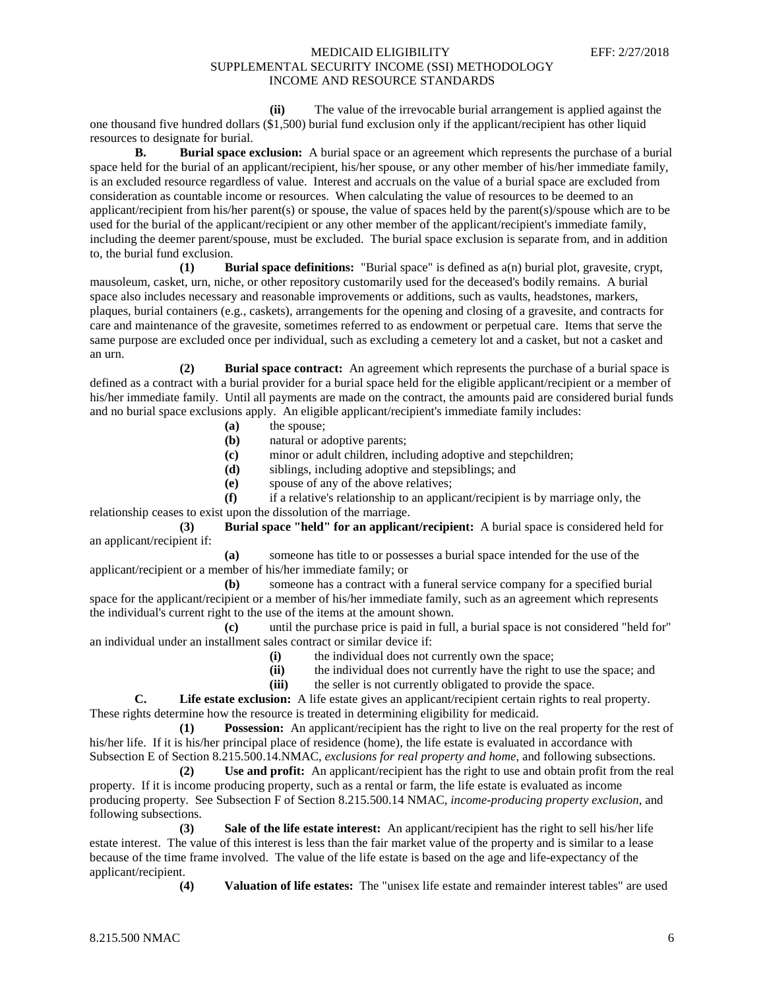**(ii)** The value of the irrevocable burial arrangement is applied against the one thousand five hundred dollars (\$1,500) burial fund exclusion only if the applicant/recipient has other liquid resources to designate for burial.

**B. Burial space exclusion:** A burial space or an agreement which represents the purchase of a burial space held for the burial of an applicant/recipient, his/her spouse, or any other member of his/her immediate family, is an excluded resource regardless of value. Interest and accruals on the value of a burial space are excluded from consideration as countable income or resources. When calculating the value of resources to be deemed to an applicant/recipient from his/her parent(s) or spouse, the value of spaces held by the parent(s)/spouse which are to be used for the burial of the applicant/recipient or any other member of the applicant/recipient's immediate family, including the deemer parent/spouse, must be excluded. The burial space exclusion is separate from, and in addition to, the burial fund exclusion.

**(1) Burial space definitions:** "Burial space" is defined as a(n) burial plot, gravesite, crypt, mausoleum, casket, urn, niche, or other repository customarily used for the deceased's bodily remains. A burial space also includes necessary and reasonable improvements or additions, such as vaults, headstones, markers, plaques, burial containers (e.g., caskets), arrangements for the opening and closing of a gravesite, and contracts for care and maintenance of the gravesite, sometimes referred to as endowment or perpetual care. Items that serve the same purpose are excluded once per individual, such as excluding a cemetery lot and a casket, but not a casket and an urn.

**(2) Burial space contract:** An agreement which represents the purchase of a burial space is defined as a contract with a burial provider for a burial space held for the eligible applicant/recipient or a member of his/her immediate family. Until all payments are made on the contract, the amounts paid are considered burial funds and no burial space exclusions apply. An eligible applicant/recipient's immediate family includes:

- **(a)** the spouse;
- **(b)** natural or adoptive parents;
- **(c)** minor or adult children, including adoptive and stepchildren;
- **(d)** siblings, including adoptive and stepsiblings; and
- **(e)** spouse of any of the above relatives;

**(f)** if a relative's relationship to an applicant/recipient is by marriage only, the relationship ceases to exist upon the dissolution of the marriage.

**(3) Burial space "held" for an applicant/recipient:** A burial space is considered held for an applicant/recipient if:

**(a)** someone has title to or possesses a burial space intended for the use of the applicant/recipient or a member of his/her immediate family; or

**(b)** someone has a contract with a funeral service company for a specified burial space for the applicant/recipient or a member of his/her immediate family, such as an agreement which represents the individual's current right to the use of the items at the amount shown.

**(c)** until the purchase price is paid in full, a burial space is not considered "held for" an individual under an installment sales contract or similar device if:

- **(i)** the individual does not currently own the space;
- **(ii)** the individual does not currently have the right to use the space; and
- **(iii)** the seller is not currently obligated to provide the space.

**C. Life estate exclusion:** A life estate gives an applicant/recipient certain rights to real property. These rights determine how the resource is treated in determining eligibility for medicaid.

**(1) Possession:** An applicant/recipient has the right to live on the real property for the rest of his/her life. If it is his/her principal place of residence (home), the life estate is evaluated in accordance with Subsection E of Section 8.215.500.14.NMAC, *exclusions for real property and home*, and following subsections.

**(2) Use and profit:** An applicant/recipient has the right to use and obtain profit from the real property. If it is income producing property, such as a rental or farm, the life estate is evaluated as income producing property. See Subsection F of Section 8.215.500.14 NMAC, *income-producing property exclusion*, and following subsections.

**(3) Sale of the life estate interest:** An applicant/recipient has the right to sell his/her life estate interest. The value of this interest is less than the fair market value of the property and is similar to a lease because of the time frame involved. The value of the life estate is based on the age and life-expectancy of the applicant/recipient.

**(4) Valuation of life estates:** The "unisex life estate and remainder interest tables" are used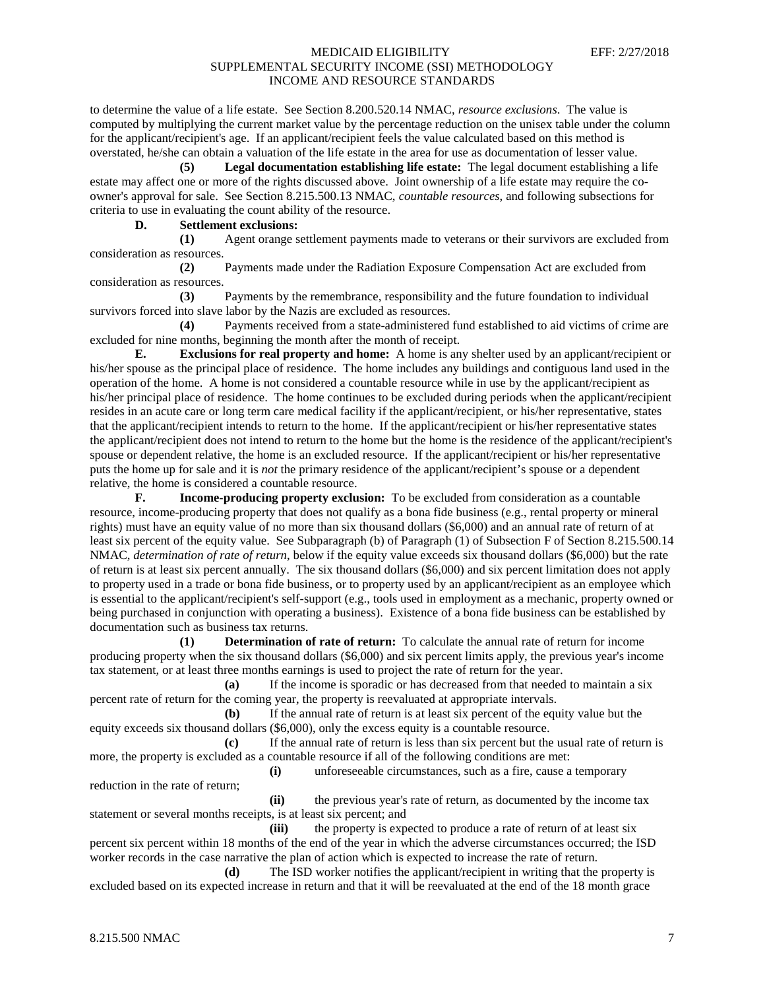to determine the value of a life estate. See Section 8.200.520.14 NMAC, *resource exclusions*. The value is computed by multiplying the current market value by the percentage reduction on the unisex table under the column for the applicant/recipient's age. If an applicant/recipient feels the value calculated based on this method is overstated, he/she can obtain a valuation of the life estate in the area for use as documentation of lesser value.

**(5) Legal documentation establishing life estate:** The legal document establishing a life estate may affect one or more of the rights discussed above. Joint ownership of a life estate may require the coowner's approval for sale. See Section 8.215.500.13 NMAC, *countable resources*, and following subsections for criteria to use in evaluating the count ability of the resource.

# **D. Settlement exclusions:**

**(1)** Agent orange settlement payments made to veterans or their survivors are excluded from consideration as resources.

**(2)** Payments made under the Radiation Exposure Compensation Act are excluded from consideration as resources.

**(3)** Payments by the remembrance, responsibility and the future foundation to individual survivors forced into slave labor by the Nazis are excluded as resources.

**(4)** Payments received from a state-administered fund established to aid victims of crime are excluded for nine months, beginning the month after the month of receipt.

**E. Exclusions for real property and home:** A home is any shelter used by an applicant/recipient or his/her spouse as the principal place of residence. The home includes any buildings and contiguous land used in the operation of the home. A home is not considered a countable resource while in use by the applicant/recipient as his/her principal place of residence. The home continues to be excluded during periods when the applicant/recipient resides in an acute care or long term care medical facility if the applicant/recipient, or his/her representative, states that the applicant/recipient intends to return to the home. If the applicant/recipient or his/her representative states the applicant/recipient does not intend to return to the home but the home is the residence of the applicant/recipient's spouse or dependent relative, the home is an excluded resource. If the applicant/recipient or his/her representative puts the home up for sale and it is *not* the primary residence of the applicant/recipient's spouse or a dependent relative, the home is considered a countable resource.

**F. Income-producing property exclusion:** To be excluded from consideration as a countable resource, income-producing property that does not qualify as a bona fide business (e.g., rental property or mineral rights) must have an equity value of no more than six thousand dollars (\$6,000) and an annual rate of return of at least six percent of the equity value. See Subparagraph (b) of Paragraph (1) of Subsection F of Section 8.215.500.14 NMAC, *determination of rate of return*, below if the equity value exceeds six thousand dollars (\$6,000) but the rate of return is at least six percent annually. The six thousand dollars (\$6,000) and six percent limitation does not apply to property used in a trade or bona fide business, or to property used by an applicant/recipient as an employee which is essential to the applicant/recipient's self-support (e.g., tools used in employment as a mechanic, property owned or being purchased in conjunction with operating a business). Existence of a bona fide business can be established by documentation such as business tax returns.

**(1) Determination of rate of return:** To calculate the annual rate of return for income producing property when the six thousand dollars (\$6,000) and six percent limits apply, the previous year's income tax statement, or at least three months earnings is used to project the rate of return for the year.

**(a)** If the income is sporadic or has decreased from that needed to maintain a six percent rate of return for the coming year, the property is reevaluated at appropriate intervals.

**(b)** If the annual rate of return is at least six percent of the equity value but the equity exceeds six thousand dollars (\$6,000), only the excess equity is a countable resource.

**(c)** If the annual rate of return is less than six percent but the usual rate of return is more, the property is excluded as a countable resource if all of the following conditions are met:

**(i)** unforeseeable circumstances, such as a fire, cause a temporary

reduction in the rate of return;

**(ii)** the previous year's rate of return, as documented by the income tax statement or several months receipts, is at least six percent; and

**(iii)** the property is expected to produce a rate of return of at least six percent six percent within 18 months of the end of the year in which the adverse circumstances occurred; the ISD worker records in the case narrative the plan of action which is expected to increase the rate of return.

**(d)** The ISD worker notifies the applicant/recipient in writing that the property is excluded based on its expected increase in return and that it will be reevaluated at the end of the 18 month grace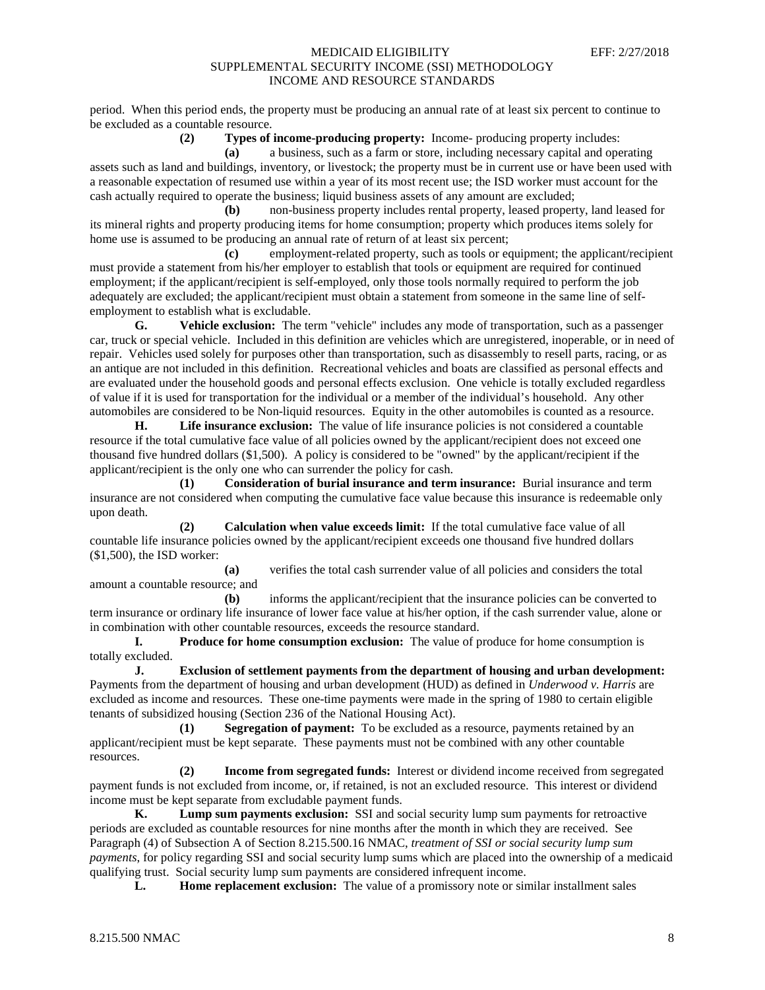period. When this period ends, the property must be producing an annual rate of at least six percent to continue to be excluded as a countable resource.

**(2) Types of income-producing property:** Income- producing property includes:

**(a)** a business, such as a farm or store, including necessary capital and operating assets such as land and buildings, inventory, or livestock; the property must be in current use or have been used with a reasonable expectation of resumed use within a year of its most recent use; the ISD worker must account for the cash actually required to operate the business; liquid business assets of any amount are excluded;

**(b)** non-business property includes rental property, leased property, land leased for its mineral rights and property producing items for home consumption; property which produces items solely for home use is assumed to be producing an annual rate of return of at least six percent;

**(c)** employment-related property, such as tools or equipment; the applicant/recipient must provide a statement from his/her employer to establish that tools or equipment are required for continued employment; if the applicant/recipient is self-employed, only those tools normally required to perform the job adequately are excluded; the applicant/recipient must obtain a statement from someone in the same line of selfemployment to establish what is excludable.<br>  $\mathbf{G}$  **Vehicle exclusion:** The te

**G. Vehicle exclusion:** The term "vehicle" includes any mode of transportation, such as a passenger car, truck or special vehicle. Included in this definition are vehicles which are unregistered, inoperable, or in need of repair. Vehicles used solely for purposes other than transportation, such as disassembly to resell parts, racing, or as an antique are not included in this definition. Recreational vehicles and boats are classified as personal effects and are evaluated under the household goods and personal effects exclusion. One vehicle is totally excluded regardless of value if it is used for transportation for the individual or a member of the individual's household. Any other automobiles are considered to be Non-liquid resources. Equity in the other automobiles is counted as a resource.

**H. Life insurance exclusion:** The value of life insurance policies is not considered a countable resource if the total cumulative face value of all policies owned by the applicant/recipient does not exceed one thousand five hundred dollars (\$1,500). A policy is considered to be "owned" by the applicant/recipient if the applicant/recipient is the only one who can surrender the policy for cash.

**(1) Consideration of burial insurance and term insurance:** Burial insurance and term insurance are not considered when computing the cumulative face value because this insurance is redeemable only upon death.

**(2) Calculation when value exceeds limit:** If the total cumulative face value of all countable life insurance policies owned by the applicant/recipient exceeds one thousand five hundred dollars (\$1,500), the ISD worker:

**(a)** verifies the total cash surrender value of all policies and considers the total amount a countable resource; and

**(b)** informs the applicant/recipient that the insurance policies can be converted to term insurance or ordinary life insurance of lower face value at his/her option, if the cash surrender value, alone or in combination with other countable resources, exceeds the resource standard.

**I. Produce for home consumption exclusion:** The value of produce for home consumption is totally excluded.

**J. Exclusion of settlement payments from the department of housing and urban development:** Payments from the department of housing and urban development (HUD) as defined in *Underwood v. Harris* are excluded as income and resources. These one-time payments were made in the spring of 1980 to certain eligible tenants of subsidized housing (Section 236 of the National Housing Act).

**(1) Segregation of payment:** To be excluded as a resource, payments retained by an applicant/recipient must be kept separate. These payments must not be combined with any other countable resources.

**(2) Income from segregated funds:** Interest or dividend income received from segregated payment funds is not excluded from income, or, if retained, is not an excluded resource. This interest or dividend income must be kept separate from excludable payment funds.

**K. Lump sum payments exclusion:** SSI and social security lump sum payments for retroactive periods are excluded as countable resources for nine months after the month in which they are received. See Paragraph (4) of Subsection A of Section 8.215.500.16 NMAC, *treatment of SSI or social security lump sum payments*, for policy regarding SSI and social security lump sums which are placed into the ownership of a medicaid qualifying trust. Social security lump sum payments are considered infrequent income.

**L. Home replacement exclusion:** The value of a promissory note or similar installment sales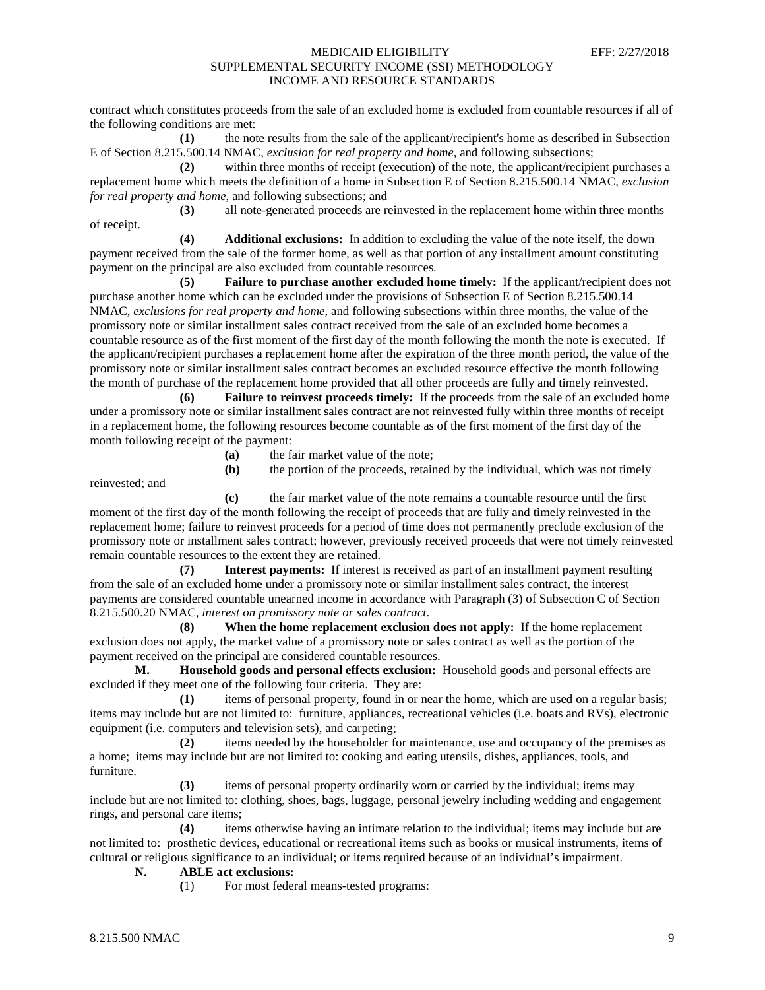contract which constitutes proceeds from the sale of an excluded home is excluded from countable resources if all of the following conditions are met:

**(1)** the note results from the sale of the applicant/recipient's home as described in Subsection E of Section 8.215.500.14 NMAC, *exclusion for real property and home*, and following subsections;

**(2)** within three months of receipt (execution) of the note, the applicant/recipient purchases a replacement home which meets the definition of a home in Subsection E of Section 8.215.500.14 NMAC, *exclusion for real property and home*, and following subsections; and

**(3)** all note-generated proceeds are reinvested in the replacement home within three months of receipt.

**(4) Additional exclusions:** In addition to excluding the value of the note itself, the down payment received from the sale of the former home, as well as that portion of any installment amount constituting payment on the principal are also excluded from countable resources.

**(5) Failure to purchase another excluded home timely:** If the applicant/recipient does not purchase another home which can be excluded under the provisions of Subsection E of Section 8.215.500.14 NMAC, *exclusions for real property and home*, and following subsections within three months, the value of the promissory note or similar installment sales contract received from the sale of an excluded home becomes a countable resource as of the first moment of the first day of the month following the month the note is executed. If the applicant/recipient purchases a replacement home after the expiration of the three month period, the value of the promissory note or similar installment sales contract becomes an excluded resource effective the month following the month of purchase of the replacement home provided that all other proceeds are fully and timely reinvested.

**(6) Failure to reinvest proceeds timely:** If the proceeds from the sale of an excluded home under a promissory note or similar installment sales contract are not reinvested fully within three months of receipt in a replacement home, the following resources become countable as of the first moment of the first day of the month following receipt of the payment:

**(a)** the fair market value of the note;

reinvested; and

**(b)** the portion of the proceeds, retained by the individual, which was not timely

**(c)** the fair market value of the note remains a countable resource until the first moment of the first day of the month following the receipt of proceeds that are fully and timely reinvested in the replacement home; failure to reinvest proceeds for a period of time does not permanently preclude exclusion of the promissory note or installment sales contract; however, previously received proceeds that were not timely reinvested remain countable resources to the extent they are retained.

**(7) Interest payments:** If interest is received as part of an installment payment resulting from the sale of an excluded home under a promissory note or similar installment sales contract, the interest payments are considered countable unearned income in accordance with Paragraph (3) of Subsection C of Section 8.215.500.20 NMAC, *interest on promissory note or sales contract*.

**(8) When the home replacement exclusion does not apply:** If the home replacement exclusion does not apply, the market value of a promissory note or sales contract as well as the portion of the payment received on the principal are considered countable resources.

**M. Household goods and personal effects exclusion:** Household goods and personal effects are excluded if they meet one of the following four criteria. They are:

**(1)** items of personal property, found in or near the home, which are used on a regular basis; items may include but are not limited to: furniture, appliances, recreational vehicles (i.e. boats and RVs), electronic equipment (i.e. computers and television sets), and carpeting;

**(2)** items needed by the householder for maintenance, use and occupancy of the premises as a home; items may include but are not limited to: cooking and eating utensils, dishes, appliances, tools, and furniture.

**(3)** items of personal property ordinarily worn or carried by the individual; items may include but are not limited to: clothing, shoes, bags, luggage, personal jewelry including wedding and engagement rings, and personal care items;

**(4)** items otherwise having an intimate relation to the individual; items may include but are not limited to: prosthetic devices, educational or recreational items such as books or musical instruments, items of cultural or religious significance to an individual; or items required because of an individual's impairment.

## **N. ABLE act exclusions:**

**(**1) For most federal means-tested programs: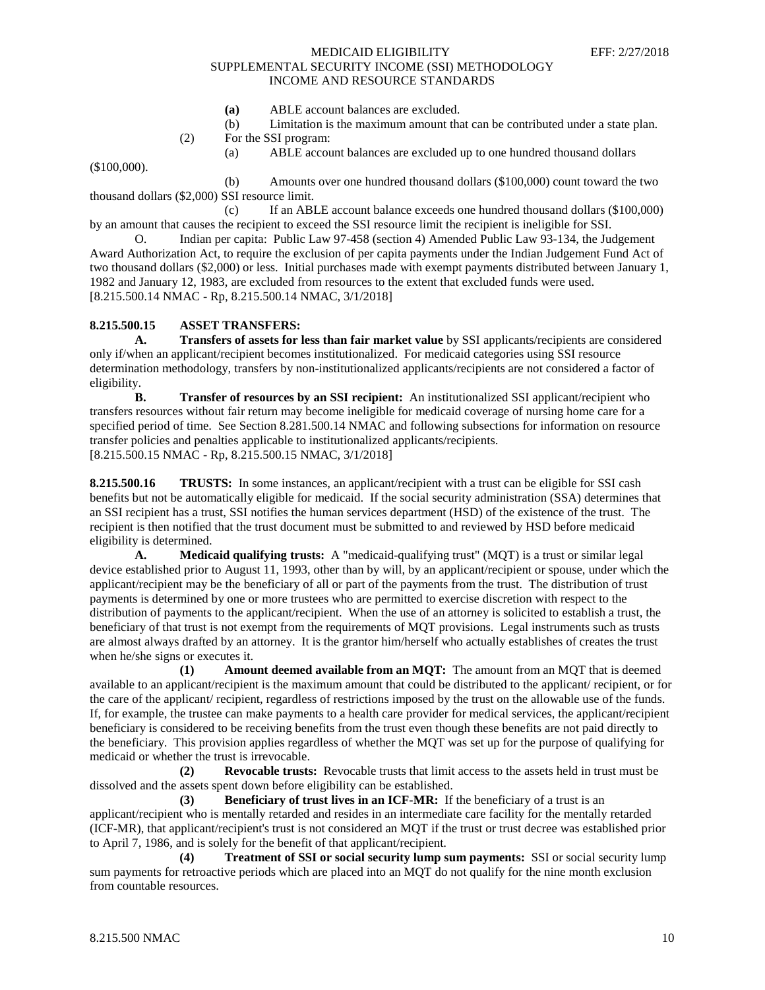- **(a)** ABLE account balances are excluded.
- (b) Limitation is the maximum amount that can be contributed under a state plan.
- (2) For the SSI program:
	- (a) ABLE account balances are excluded up to one hundred thousand dollars

(\$100,000).

(b) Amounts over one hundred thousand dollars (\$100,000) count toward the two thousand dollars (\$2,000) SSI resource limit.

(c) If an ABLE account balance exceeds one hundred thousand dollars (\$100,000) by an amount that causes the recipient to exceed the SSI resource limit the recipient is ineligible for SSI.

O. Indian per capita: Public Law 97-458 (section 4) Amended Public Law 93-134, the Judgement Award Authorization Act, to require the exclusion of per capita payments under the Indian Judgement Fund Act of two thousand dollars (\$2,000) or less. Initial purchases made with exempt payments distributed between January 1, 1982 and January 12, 1983, are excluded from resources to the extent that excluded funds were used. [8.215.500.14 NMAC - Rp, 8.215.500.14 NMAC, 3/1/2018]

#### **8.215.500.15 ASSET TRANSFERS:**

**A. Transfers of assets for less than fair market value** by SSI applicants/recipients are considered only if/when an applicant/recipient becomes institutionalized. For medicaid categories using SSI resource determination methodology, transfers by non-institutionalized applicants/recipients are not considered a factor of eligibility.

**B. Transfer of resources by an SSI recipient:** An institutionalized SSI applicant/recipient who transfers resources without fair return may become ineligible for medicaid coverage of nursing home care for a specified period of time. See Section 8.281.500.14 NMAC and following subsections for information on resource transfer policies and penalties applicable to institutionalized applicants/recipients. [8.215.500.15 NMAC - Rp, 8.215.500.15 NMAC, 3/1/2018]

**8.215.500.16 TRUSTS:** In some instances, an applicant/recipient with a trust can be eligible for SSI cash benefits but not be automatically eligible for medicaid. If the social security administration (SSA) determines that an SSI recipient has a trust, SSI notifies the human services department (HSD) of the existence of the trust. The recipient is then notified that the trust document must be submitted to and reviewed by HSD before medicaid eligibility is determined.

**A. Medicaid qualifying trusts:** A "medicaid-qualifying trust" (MQT) is a trust or similar legal device established prior to August 11, 1993, other than by will, by an applicant/recipient or spouse, under which the applicant/recipient may be the beneficiary of all or part of the payments from the trust. The distribution of trust payments is determined by one or more trustees who are permitted to exercise discretion with respect to the distribution of payments to the applicant/recipient. When the use of an attorney is solicited to establish a trust, the beneficiary of that trust is not exempt from the requirements of MQT provisions. Legal instruments such as trusts are almost always drafted by an attorney. It is the grantor him/herself who actually establishes of creates the trust when he/she signs or executes it.

**(1) Amount deemed available from an MQT:** The amount from an MQT that is deemed available to an applicant/recipient is the maximum amount that could be distributed to the applicant/ recipient, or for the care of the applicant/ recipient, regardless of restrictions imposed by the trust on the allowable use of the funds. If, for example, the trustee can make payments to a health care provider for medical services, the applicant/recipient beneficiary is considered to be receiving benefits from the trust even though these benefits are not paid directly to the beneficiary. This provision applies regardless of whether the MQT was set up for the purpose of qualifying for medicaid or whether the trust is irrevocable.

**(2) Revocable trusts:** Revocable trusts that limit access to the assets held in trust must be dissolved and the assets spent down before eligibility can be established.

**(3) Beneficiary of trust lives in an ICF-MR:** If the beneficiary of a trust is an applicant/recipient who is mentally retarded and resides in an intermediate care facility for the mentally retarded (ICF-MR), that applicant/recipient's trust is not considered an MQT if the trust or trust decree was established prior to April 7, 1986, and is solely for the benefit of that applicant/recipient.

**(4) Treatment of SSI or social security lump sum payments:** SSI or social security lump sum payments for retroactive periods which are placed into an MQT do not qualify for the nine month exclusion from countable resources.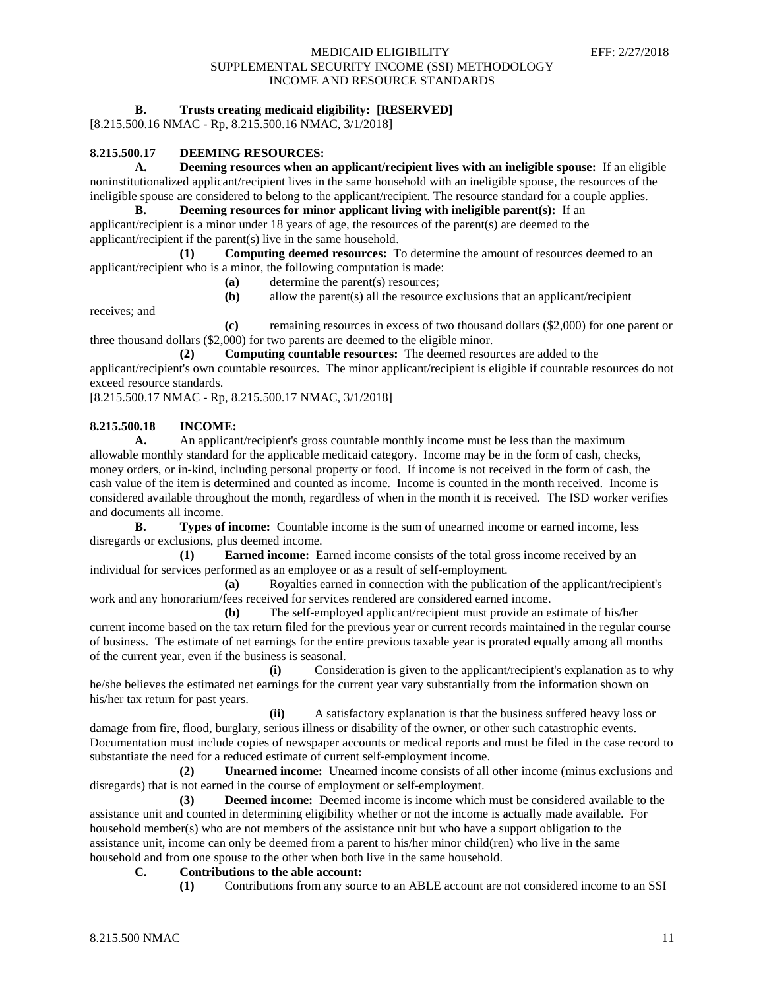## **B. Trusts creating medicaid eligibility: [RESERVED]**

[8.215.500.16 NMAC - Rp, 8.215.500.16 NMAC, 3/1/2018]

## **8.215.500.17 DEEMING RESOURCES:**

**A. Deeming resources when an applicant/recipient lives with an ineligible spouse:** If an eligible noninstitutionalized applicant/recipient lives in the same household with an ineligible spouse, the resources of the ineligible spouse are considered to belong to the applicant/recipient. The resource standard for a couple applies.

**B. Deeming resources for minor applicant living with ineligible parent(s):** If an applicant/recipient is a minor under 18 years of age, the resources of the parent(s) are deemed to the applicant/recipient if the parent(s) live in the same household.

**(1) Computing deemed resources:** To determine the amount of resources deemed to an applicant/recipient who is a minor, the following computation is made:

- **(a)** determine the parent(s) resources;
- **(b)** allow the parent(s) all the resource exclusions that an applicant/recipient

receives; and

**(c)** remaining resources in excess of two thousand dollars (\$2,000) for one parent or three thousand dollars (\$2,000) for two parents are deemed to the eligible minor.

**(2) Computing countable resources:** The deemed resources are added to the applicant/recipient's own countable resources. The minor applicant/recipient is eligible if countable resources do not exceed resource standards.

[8.215.500.17 NMAC - Rp, 8.215.500.17 NMAC, 3/1/2018]

# **8.215.500.18 INCOME:**<br>**A.** An applican

**A.** An applicant/recipient's gross countable monthly income must be less than the maximum allowable monthly standard for the applicable medicaid category. Income may be in the form of cash, checks, money orders, or in-kind, including personal property or food. If income is not received in the form of cash, the cash value of the item is determined and counted as income. Income is counted in the month received. Income is considered available throughout the month, regardless of when in the month it is received. The ISD worker verifies and documents all income.

**B. Types of income:** Countable income is the sum of unearned income or earned income, less disregards or exclusions, plus deemed income.

**(1) Earned income:** Earned income consists of the total gross income received by an individual for services performed as an employee or as a result of self-employment.

**(a)** Royalties earned in connection with the publication of the applicant/recipient's work and any honorarium/fees received for services rendered are considered earned income.

**(b)** The self-employed applicant/recipient must provide an estimate of his/her current income based on the tax return filed for the previous year or current records maintained in the regular course of business. The estimate of net earnings for the entire previous taxable year is prorated equally among all months of the current year, even if the business is seasonal.

**(i)** Consideration is given to the applicant/recipient's explanation as to why he/she believes the estimated net earnings for the current year vary substantially from the information shown on his/her tax return for past years.

**(ii)** A satisfactory explanation is that the business suffered heavy loss or damage from fire, flood, burglary, serious illness or disability of the owner, or other such catastrophic events. Documentation must include copies of newspaper accounts or medical reports and must be filed in the case record to substantiate the need for a reduced estimate of current self-employment income.

**(2) Unearned income:** Unearned income consists of all other income (minus exclusions and disregards) that is not earned in the course of employment or self-employment.

**(3) Deemed income:** Deemed income is income which must be considered available to the assistance unit and counted in determining eligibility whether or not the income is actually made available. For household member(s) who are not members of the assistance unit but who have a support obligation to the assistance unit, income can only be deemed from a parent to his/her minor child(ren) who live in the same household and from one spouse to the other when both live in the same household.

#### **C. Contributions to the able account:**

**(1)** Contributions from any source to an ABLE account are not considered income to an SSI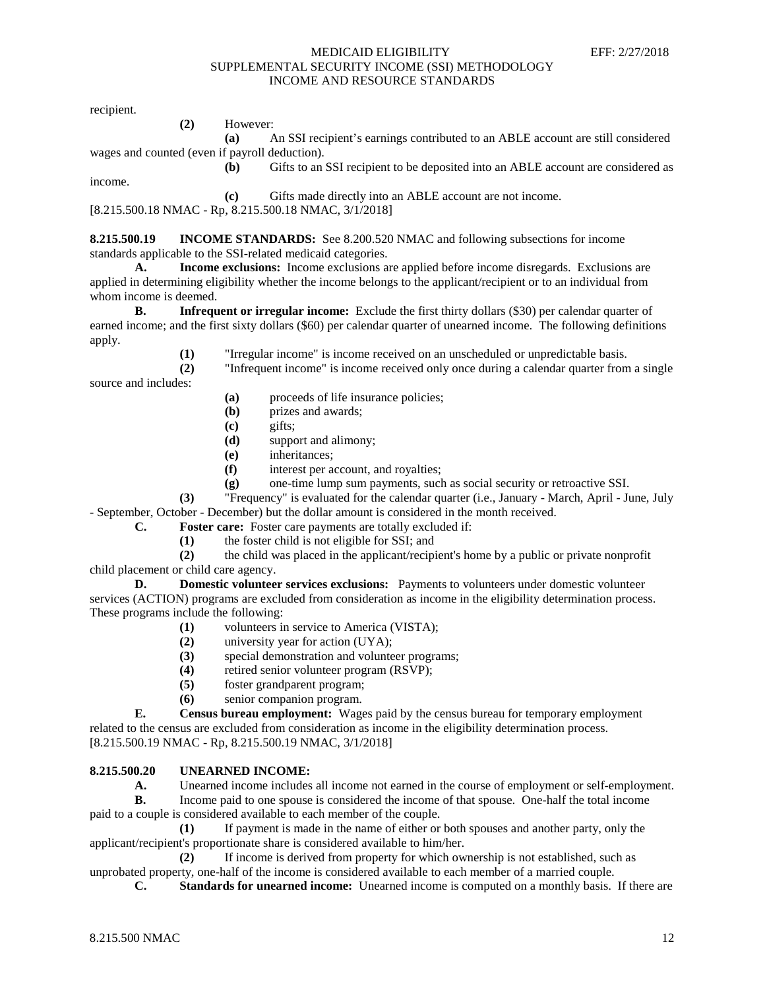recipient.

income.

**(2)** However:

**(a)** An SSI recipient's earnings contributed to an ABLE account are still considered wages and counted (even if payroll deduction).

**(b)** Gifts to an SSI recipient to be deposited into an ABLE account are considered as

**(c)** Gifts made directly into an ABLE account are not income.

[8.215.500.18 NMAC - Rp, 8.215.500.18 NMAC, 3/1/2018]

**8.215.500.19 INCOME STANDARDS:** See 8.200.520 NMAC and following subsections for income standards applicable to the SSI-related medicaid categories.

**A. Income exclusions:** Income exclusions are applied before income disregards. Exclusions are applied in determining eligibility whether the income belongs to the applicant/recipient or to an individual from whom income is deemed.

**B. Infrequent or irregular income:** Exclude the first thirty dollars (\$30) per calendar quarter of earned income; and the first sixty dollars (\$60) per calendar quarter of unearned income. The following definitions apply.

> **(1)** "Irregular income" is income received on an unscheduled or unpredictable basis. **(2)** "Infrequent income" is income received only once during a calendar quarter from a single

source and includes:

- **(a)** proceeds of life insurance policies;
- **(b)** prizes and awards;
- **(c)** gifts;
- **(d)** support and alimony;
- **(e)** inheritances;
- **(f)** interest per account, and royalties;
- **(g)** one-time lump sum payments, such as social security or retroactive SSI.

**(3)** "Frequency" is evaluated for the calendar quarter (i.e., January - March, April - June, July - September, October - December) but the dollar amount is considered in the month received.

- **C. Foster care:** Foster care payments are totally excluded if:
	- **(1)** the foster child is not eligible for SSI; and

**(2)** the child was placed in the applicant/recipient's home by a public or private nonprofit child placement or child care agency.

**D. Domestic volunteer services exclusions:** Payments to volunteers under domestic volunteer services (ACTION) programs are excluded from consideration as income in the eligibility determination process. These programs include the following:

- **(1)** volunteers in service to America (VISTA);
- **(2)** university year for action (UYA);
- **(3)** special demonstration and volunteer programs;
- **(4)** retired senior volunteer program (RSVP);
- **(5)** foster grandparent program;
- **(6)** senior companion program.

**E. Census bureau employment:** Wages paid by the census bureau for temporary employment related to the census are excluded from consideration as income in the eligibility determination process. [8.215.500.19 NMAC - Rp, 8.215.500.19 NMAC, 3/1/2018]

## **8.215.500.20 UNEARNED INCOME:**

A. Unearned income includes all income not earned in the course of employment or self-employment.

**B.** Income paid to one spouse is considered the income of that spouse. One-half the total income paid to a couple is considered available to each member of the couple.

**(1)** If payment is made in the name of either or both spouses and another party, only the applicant/recipient's proportionate share is considered available to him/her.

**(2)** If income is derived from property for which ownership is not established, such as unprobated property, one-half of the income is considered available to each member of a married couple.

**C. Standards for unearned income:** Unearned income is computed on a monthly basis. If there are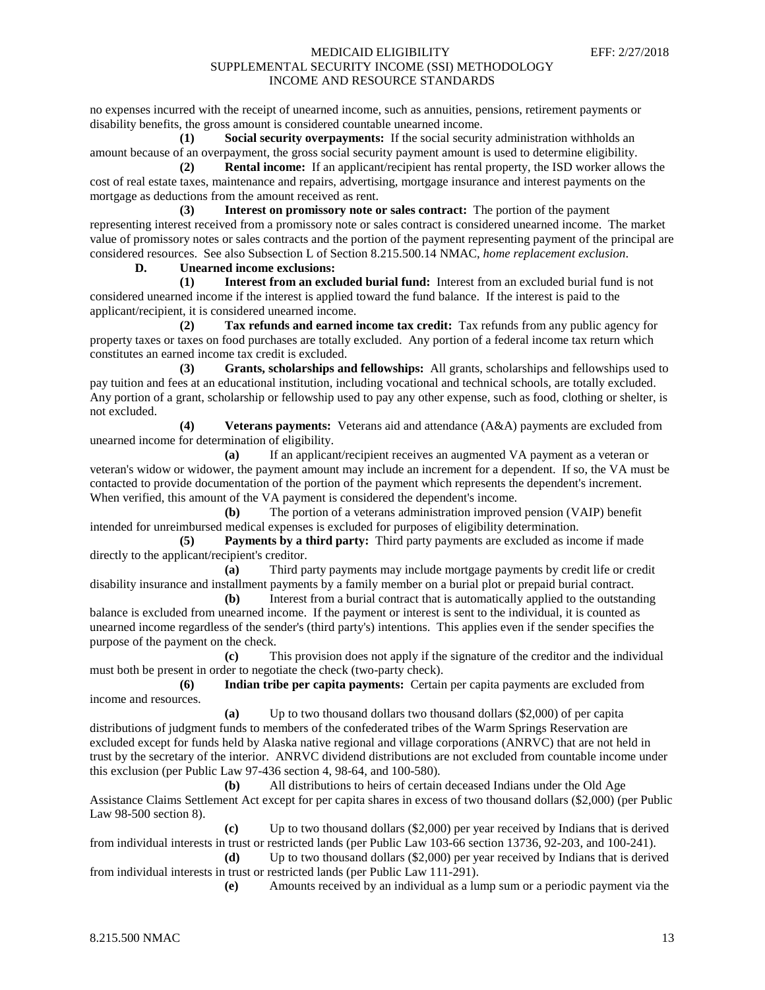no expenses incurred with the receipt of unearned income, such as annuities, pensions, retirement payments or disability benefits, the gross amount is considered countable unearned income.

**(1) Social security overpayments:** If the social security administration withholds an amount because of an overpayment, the gross social security payment amount is used to determine eligibility.

**(2) Rental income:** If an applicant/recipient has rental property, the ISD worker allows the cost of real estate taxes, maintenance and repairs, advertising, mortgage insurance and interest payments on the mortgage as deductions from the amount received as rent.

**(3) Interest on promissory note or sales contract:** The portion of the payment representing interest received from a promissory note or sales contract is considered unearned income. The market value of promissory notes or sales contracts and the portion of the payment representing payment of the principal are considered resources. See also Subsection L of Section 8.215.500.14 NMAC, *home replacement exclusion*.

**D. Unearned income exclusions:**

**(1) Interest from an excluded burial fund:** Interest from an excluded burial fund is not considered unearned income if the interest is applied toward the fund balance. If the interest is paid to the applicant/recipient, it is considered unearned income.

**(2) Tax refunds and earned income tax credit:** Tax refunds from any public agency for property taxes or taxes on food purchases are totally excluded. Any portion of a federal income tax return which constitutes an earned income tax credit is excluded.

**(3) Grants, scholarships and fellowships:** All grants, scholarships and fellowships used to pay tuition and fees at an educational institution, including vocational and technical schools, are totally excluded. Any portion of a grant, scholarship or fellowship used to pay any other expense, such as food, clothing or shelter, is not excluded.

**(4) Veterans payments:** Veterans aid and attendance (A&A) payments are excluded from unearned income for determination of eligibility.

**(a)** If an applicant/recipient receives an augmented VA payment as a veteran or veteran's widow or widower, the payment amount may include an increment for a dependent. If so, the VA must be contacted to provide documentation of the portion of the payment which represents the dependent's increment. When verified, this amount of the VA payment is considered the dependent's income.

**(b)** The portion of a veterans administration improved pension (VAIP) benefit intended for unreimbursed medical expenses is excluded for purposes of eligibility determination.

**(5) Payments by a third party:** Third party payments are excluded as income if made directly to the applicant/recipient's creditor.

**(a)** Third party payments may include mortgage payments by credit life or credit disability insurance and installment payments by a family member on a burial plot or prepaid burial contract.

**(b)** Interest from a burial contract that is automatically applied to the outstanding balance is excluded from unearned income. If the payment or interest is sent to the individual, it is counted as unearned income regardless of the sender's (third party's) intentions. This applies even if the sender specifies the purpose of the payment on the check.

**(c)** This provision does not apply if the signature of the creditor and the individual must both be present in order to negotiate the check (two-party check).

**(6) Indian tribe per capita payments:** Certain per capita payments are excluded from income and resources.

**(a)** Up to two thousand dollars two thousand dollars (\$2,000) of per capita distributions of judgment funds to members of the confederated tribes of the Warm Springs Reservation are excluded except for funds held by Alaska native regional and village corporations (ANRVC) that are not held in trust by the secretary of the interior. ANRVC dividend distributions are not excluded from countable income under this exclusion (per Public Law 97-436 section 4, 98-64, and 100-580).

**(b)** All distributions to heirs of certain deceased Indians under the Old Age Assistance Claims Settlement Act except for per capita shares in excess of two thousand dollars (\$2,000) (per Public Law 98-500 section 8).

**(c)** Up to two thousand dollars (\$2,000) per year received by Indians that is derived from individual interests in trust or restricted lands (per Public Law 103-66 section 13736, 92-203, and 100-241).

**(d)** Up to two thousand dollars (\$2,000) per year received by Indians that is derived from individual interests in trust or restricted lands (per Public Law 111-291).

**(e)** Amounts received by an individual as a lump sum or a periodic payment via the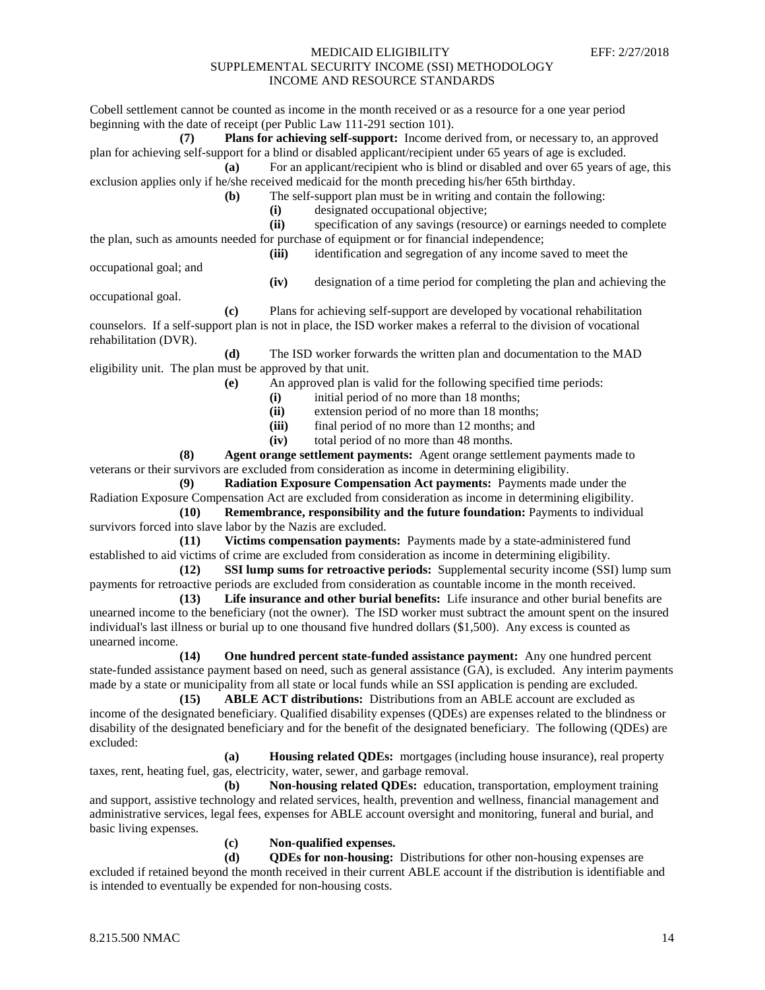Cobell settlement cannot be counted as income in the month received or as a resource for a one year period beginning with the date of receipt (per Public Law 111-291 section 101). **(7) Plans for achieving self-support:** Income derived from, or necessary to, an approved plan for achieving self-support for a blind or disabled applicant/recipient under 65 years of age is excluded. **(a)** For an applicant/recipient who is blind or disabled and over 65 years of age, this exclusion applies only if he/she received medicaid for the month preceding his/her 65th birthday. **(b)** The self-support plan must be in writing and contain the following: **(i)** designated occupational objective; **(ii)** specification of any savings (resource) or earnings needed to complete the plan, such as amounts needed for purchase of equipment or for financial independence; **(iii)** identification and segregation of any income saved to meet the

occupational goal; and

**(iv)** designation of a time period for completing the plan and achieving the

occupational goal.

**(c)** Plans for achieving self-support are developed by vocational rehabilitation counselors. If a self-support plan is not in place, the ISD worker makes a referral to the division of vocational rehabilitation (DVR).

**(d)** The ISD worker forwards the written plan and documentation to the MAD eligibility unit. The plan must be approved by that unit.

- **(e)** An approved plan is valid for the following specified time periods:
	- (i) initial period of no more than 18 months;<br>(ii) extension period of no more than 18 mont
	- extension period of no more than 18 months;
	- **(iii)** final period of no more than 12 months; and
	- **(iv)** total period of no more than 48 months.

**(8) Agent orange settlement payments:** Agent orange settlement payments made to veterans or their survivors are excluded from consideration as income in determining eligibility.

**(9) Radiation Exposure Compensation Act payments:** Payments made under the Radiation Exposure Compensation Act are excluded from consideration as income in determining eligibility.

**(10) Remembrance, responsibility and the future foundation:** Payments to individual survivors forced into slave labor by the Nazis are excluded.

**(11) Victims compensation payments:** Payments made by a state-administered fund established to aid victims of crime are excluded from consideration as income in determining eligibility.

**(12) SSI lump sums for retroactive periods:** Supplemental security income (SSI) lump sum payments for retroactive periods are excluded from consideration as countable income in the month received.

**(13) Life insurance and other burial benefits:** Life insurance and other burial benefits are unearned income to the beneficiary (not the owner). The ISD worker must subtract the amount spent on the insured individual's last illness or burial up to one thousand five hundred dollars (\$1,500). Any excess is counted as unearned income.

**(14) One hundred percent state-funded assistance payment:** Any one hundred percent state-funded assistance payment based on need, such as general assistance (GA), is excluded. Any interim payments made by a state or municipality from all state or local funds while an SSI application is pending are excluded.

**(15) ABLE ACT distributions:** Distributions from an ABLE account are excluded as income of the designated beneficiary. Qualified disability expenses (QDEs) are expenses related to the blindness or disability of the designated beneficiary and for the benefit of the designated beneficiary. The following (QDEs) are excluded:

**(a) Housing related QDEs:** mortgages (including house insurance), real property taxes, rent, heating fuel, gas, electricity, water, sewer, and garbage removal.

**(b) Non-housing related QDEs:** education, transportation, employment training and support, assistive technology and related services, health, prevention and wellness, financial management and administrative services, legal fees, expenses for ABLE account oversight and monitoring, funeral and burial, and basic living expenses.

**(c) Non-qualified expenses.**

**(d) QDEs for non-housing:** Distributions for other non-housing expenses are excluded if retained beyond the month received in their current ABLE account if the distribution is identifiable and is intended to eventually be expended for non-housing costs.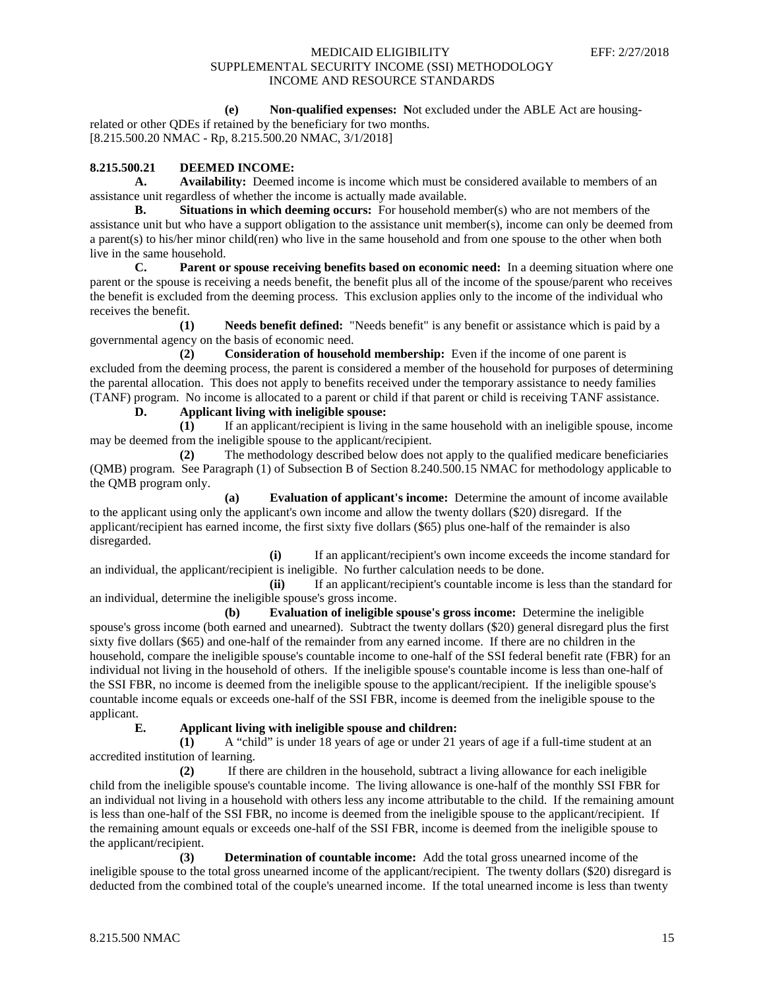**(e) Non-qualified expenses: N**ot excluded under the ABLE Act are housing-

related or other QDEs if retained by the beneficiary for two months. [8.215.500.20 NMAC - Rp, 8.215.500.20 NMAC, 3/1/2018]

# **8.215.500.21 DEEMED INCOME:**

**A. Availability:** Deemed income is income which must be considered available to members of an assistance unit regardless of whether the income is actually made available.

**B. Situations in which deeming occurs:** For household member(s) who are not members of the assistance unit but who have a support obligation to the assistance unit member(s), income can only be deemed from a parent(s) to his/her minor child(ren) who live in the same household and from one spouse to the other when both live in the same household.

**C. Parent or spouse receiving benefits based on economic need:** In a deeming situation where one parent or the spouse is receiving a needs benefit, the benefit plus all of the income of the spouse/parent who receives the benefit is excluded from the deeming process. This exclusion applies only to the income of the individual who receives the benefit.

**(1) Needs benefit defined:** "Needs benefit" is any benefit or assistance which is paid by a governmental agency on the basis of economic need.

**(2) Consideration of household membership:** Even if the income of one parent is excluded from the deeming process, the parent is considered a member of the household for purposes of determining the parental allocation. This does not apply to benefits received under the temporary assistance to needy families (TANF) program. No income is allocated to a parent or child if that parent or child is receiving TANF assistance.

**D. Applicant living with ineligible spouse:**

**(1)** If an applicant/recipient is living in the same household with an ineligible spouse, income may be deemed from the ineligible spouse to the applicant/recipient.

**(2)** The methodology described below does not apply to the qualified medicare beneficiaries (QMB) program. See Paragraph (1) of Subsection B of Section 8.240.500.15 NMAC for methodology applicable to the QMB program only.

**(a) Evaluation of applicant's income:** Determine the amount of income available to the applicant using only the applicant's own income and allow the twenty dollars (\$20) disregard. If the applicant/recipient has earned income, the first sixty five dollars (\$65) plus one-half of the remainder is also disregarded.

**(i)** If an applicant/recipient's own income exceeds the income standard for an individual, the applicant/recipient is ineligible. No further calculation needs to be done.

**(ii)** If an applicant/recipient's countable income is less than the standard for an individual, determine the ineligible spouse's gross income.

**(b) Evaluation of ineligible spouse's gross income:** Determine the ineligible spouse's gross income (both earned and unearned). Subtract the twenty dollars (\$20) general disregard plus the first sixty five dollars (\$65) and one-half of the remainder from any earned income. If there are no children in the household, compare the ineligible spouse's countable income to one-half of the SSI federal benefit rate (FBR) for an individual not living in the household of others. If the ineligible spouse's countable income is less than one-half of the SSI FBR, no income is deemed from the ineligible spouse to the applicant/recipient. If the ineligible spouse's countable income equals or exceeds one-half of the SSI FBR, income is deemed from the ineligible spouse to the applicant.

## **E. Applicant living with ineligible spouse and children:**

**(1)** A "child" is under 18 years of age or under 21 years of age if a full-time student at an accredited institution of learning.

**(2)** If there are children in the household, subtract a living allowance for each ineligible child from the ineligible spouse's countable income. The living allowance is one-half of the monthly SSI FBR for an individual not living in a household with others less any income attributable to the child. If the remaining amount is less than one-half of the SSI FBR, no income is deemed from the ineligible spouse to the applicant/recipient. If the remaining amount equals or exceeds one-half of the SSI FBR, income is deemed from the ineligible spouse to the applicant/recipient.

**(3) Determination of countable income:** Add the total gross unearned income of the ineligible spouse to the total gross unearned income of the applicant/recipient. The twenty dollars (\$20) disregard is deducted from the combined total of the couple's unearned income. If the total unearned income is less than twenty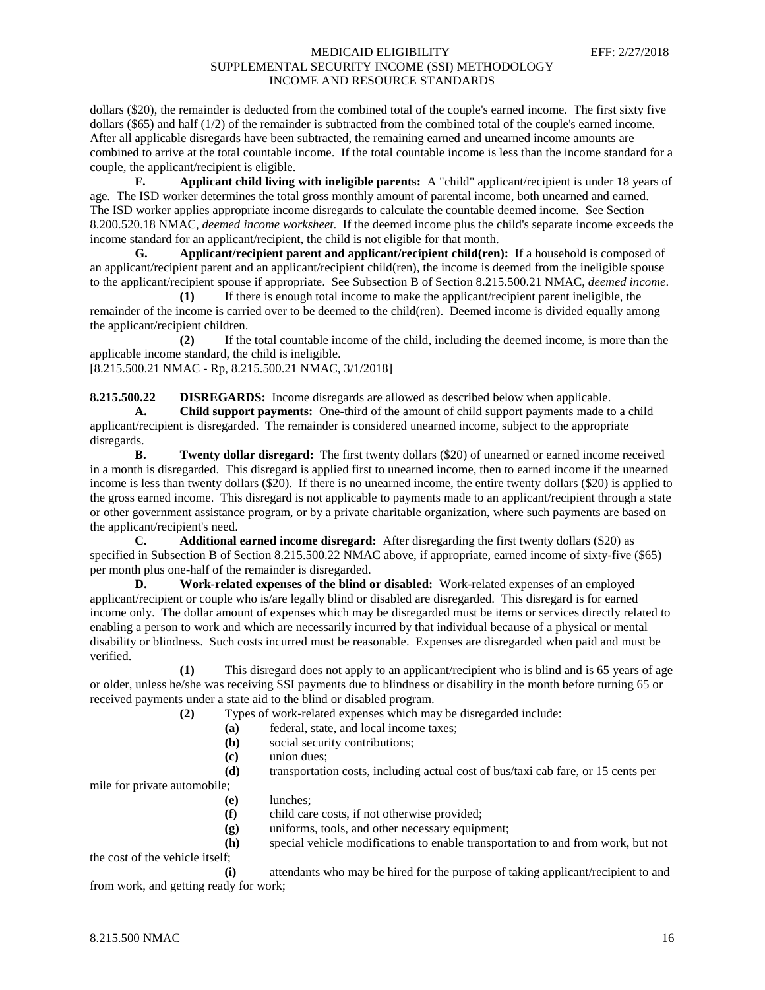dollars (\$20), the remainder is deducted from the combined total of the couple's earned income. The first sixty five dollars (\$65) and half (1/2) of the remainder is subtracted from the combined total of the couple's earned income. After all applicable disregards have been subtracted, the remaining earned and unearned income amounts are combined to arrive at the total countable income. If the total countable income is less than the income standard for a couple, the applicant/recipient is eligible.

**F. Applicant child living with ineligible parents:** A "child" applicant/recipient is under 18 years of age. The ISD worker determines the total gross monthly amount of parental income, both unearned and earned. The ISD worker applies appropriate income disregards to calculate the countable deemed income. See Section 8.200.520.18 NMAC, *deemed income worksheet*. If the deemed income plus the child's separate income exceeds the income standard for an applicant/recipient, the child is not eligible for that month.

**G. Applicant/recipient parent and applicant/recipient child(ren):** If a household is composed of an applicant/recipient parent and an applicant/recipient child(ren), the income is deemed from the ineligible spouse to the applicant/recipient spouse if appropriate. See Subsection B of Section 8.215.500.21 NMAC, *deemed income*.

**(1)** If there is enough total income to make the applicant/recipient parent ineligible, the remainder of the income is carried over to be deemed to the child(ren). Deemed income is divided equally among the applicant/recipient children.

**(2)** If the total countable income of the child, including the deemed income, is more than the applicable income standard, the child is ineligible.

[8.215.500.21 NMAC - Rp, 8.215.500.21 NMAC, 3/1/2018]

**8.215.500.22 DISREGARDS:** Income disregards are allowed as described below when applicable. **A. Child support payments:** One-third of the amount of child support payments made to a child

applicant/recipient is disregarded. The remainder is considered unearned income, subject to the appropriate disregards.<br>B.

**Twenty dollar disregard:** The first twenty dollars (\$20) of unearned or earned income received in a month is disregarded. This disregard is applied first to unearned income, then to earned income if the unearned income is less than twenty dollars (\$20). If there is no unearned income, the entire twenty dollars (\$20) is applied to the gross earned income. This disregard is not applicable to payments made to an applicant/recipient through a state or other government assistance program, or by a private charitable organization, where such payments are based on the applicant/recipient's need.

**C. Additional earned income disregard:** After disregarding the first twenty dollars (\$20) as specified in Subsection B of Section 8.215.500.22 NMAC above, if appropriate, earned income of sixty-five (\$65) per month plus one-half of the remainder is disregarded.

**D. Work-related expenses of the blind or disabled:** Work-related expenses of an employed applicant/recipient or couple who is/are legally blind or disabled are disregarded. This disregard is for earned income only. The dollar amount of expenses which may be disregarded must be items or services directly related to enabling a person to work and which are necessarily incurred by that individual because of a physical or mental disability or blindness. Such costs incurred must be reasonable. Expenses are disregarded when paid and must be verified.

**(1)** This disregard does not apply to an applicant/recipient who is blind and is 65 years of age or older, unless he/she was receiving SSI payments due to blindness or disability in the month before turning 65 or received payments under a state aid to the blind or disabled program.

**(2)** Types of work-related expenses which may be disregarded include:

- **(a)** federal, state, and local income taxes;
- **(b)** social security contributions;
- **(c)** union dues;

**(d)** transportation costs, including actual cost of bus/taxi cab fare, or 15 cents per

mile for private automobile;

- **(e)** lunches;
- **(f)** child care costs, if not otherwise provided;
- **(g)** uniforms, tools, and other necessary equipment;
- **(h)** special vehicle modifications to enable transportation to and from work, but not the cost of the vehicle itself;

**(i)** attendants who may be hired for the purpose of taking applicant/recipient to and from work, and getting ready for work;